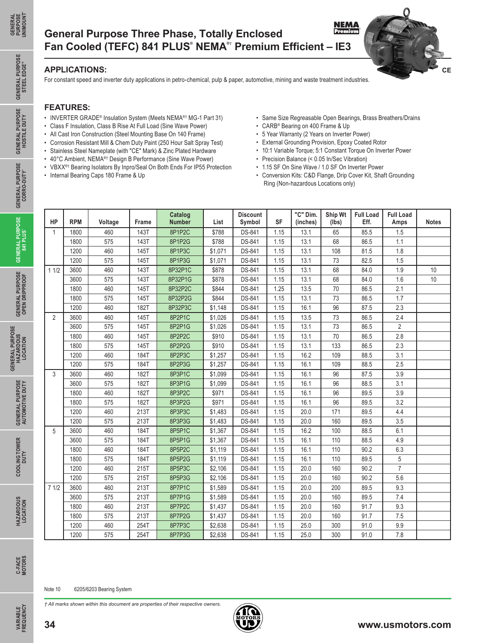**GENERAL PURPOSE** STEEL EDGE™

**GENERAL PURPOSE HOSTILE DUTY**

**GENERAL PURPOSE CORRO-DUTY®**

GENERAL PURPOSE GENERAL PURPOSE GENERAL PURPOSE GENERAL PURPOSE GENERAL PURPOSE<br>OPEN DRIPPROOF 841 PLUS CORRO-DUTY HOSTILE DUTY STEEL EDGE"

**GENERAL PURPOSE 841 PLUS®**

**GENERAL PURPOSE OPEN DRIPPROOF**

**GENERAL PURPOSE HAZARDOUS LOCATION**

**GENERAL PURPOSE<br>HAZARDOUS<br>LOCATION** 

**GENERAL PURPOSE AUTOMOTIVE DUTY**

**GENERAL PURPOSE**<br>AUTOMOTIVE DUTY

**COOLING TOWER**  COOLING TOWER<br>DUTY

> **HAZARDOUS LOCATION**

HAZARDOUS<br>LOCATION

## **NEMA**<br>Premium **General Purpose Three Phase, Totally Enclosed Fan Cooled (TEFC) 841 PLUS® NEMA®**†  **Premium Efficient – IE3**

### **APPLICATIONS:**

For constant speed and inverter duty applications in petro-chemical, pulp & paper, automotive, mining and waste treatment industries.

#### **FEATURES:**

- INVERTER GRADE<sup>®</sup> Insulation System (Meets NEMA<sup>®†</sup> MG-1 Part 31)
- Class F Insulation, Class B Rise At Full Load (Sine Wave Power)
- All Cast Iron Construction (Steel Mounting Base On 140 Frame)
- Corrosion Resistant Mill & Chem Duty Paint (250 Hour Salt Spray Test)
- Stainless Steel Nameplate (with "CE" Mark) & Zinc Plated Hardware
- 40°C Ambient, NEMA®† Design B Performance (Sine Wave Power)
- VBXX<sup>®†</sup> Bearing Isolators By Inpro/Seal On Both Ends For IP55 Protection
- Internal Bearing Caps 180 Frame & Up

• Same Size Regreasable Open Bearings, Brass Breathers/Drains

**CE**

- CARB® Bearing on 400 Frame & Up
- 5 Year Warranty (2 Years on Inverter Power)
- External Grounding Provision, Epoxy Coated Rotor
- 10:1 Variable Torque; 5:1 Constant Torque On Inverter Power
- Precision Balance (< 0.05 In/Sec Vibration)
- 1.15 SF On Sine Wave / 1.0 SF On Inverter Power
- Conversion Kits: C&D Flange, Drip Cover Kit, Shaft Grounding Ring (Non-hazardous Locations only)

| HP             | <b>RPM</b> | Voltage | Frame       | Catalog<br><b>Number</b> | List    | <b>Discount</b><br>Symbol | <b>SF</b> | "C" Dim.<br>(inches) | Ship Wt<br>(lbs) | <b>Full Load</b><br>Eff. | <b>Full Load</b><br>Amps | <b>Notes</b> |
|----------------|------------|---------|-------------|--------------------------|---------|---------------------------|-----------|----------------------|------------------|--------------------------|--------------------------|--------------|
| $\mathbf{1}$   | 1800       | 460     | 143T        | 8P1P2C                   | \$788   | <b>DS-841</b>             | 1.15      | 13.1                 | 65               | 85.5                     | 1.5                      |              |
|                | 1800       | 575     | 143T        | 8P1P2G                   | \$788   | DS-841                    | 1.15      | 13.1                 | 68               | 86.5                     | 1.1                      |              |
|                | 1200       | 460     | 145T        | 8P1P3C                   | \$1,071 | <b>DS-841</b>             | 1.15      | 13.1                 | 108              | 81.5                     | 1.8                      |              |
|                | 1200       | 575     | 145T        | 8P1P3G                   | \$1,071 | DS-841                    | 1.15      | 13.1                 | 73               | 82.5                     | 1.5                      |              |
| 11/2           | 3600       | 460     | 143T        | 8P32P1C                  | \$878   | DS-841                    | 1.15      | 13.1                 | 68               | 84.0                     | 1.9                      | 10           |
|                | 3600       | 575     | 143T        | 8P32P1G                  | \$878   | DS-841                    | 1.15      | 13.1                 | 68               | 84.0                     | 1.6                      | $10$         |
|                | 1800       | 460     | 145T        | 8P32P2C                  | \$844   | <b>DS-841</b>             | 1.25      | 13.5                 | 70               | 86.5                     | 2.1                      |              |
|                | 1800       | 575     | 145T        | 8P32P2G                  | \$844   | DS-841                    | 1.15      | 13.1                 | 73               | 86.5                     | 1.7                      |              |
|                | 1200       | 460     | 182T        | 8P32P3C                  | \$1,148 | DS-841                    | 1.15      | 16.1                 | 96               | 87.5                     | 2.3                      |              |
| $\overline{2}$ | 3600       | 460     | 145T        | 8P2P1C                   | \$1.026 | <b>DS-841</b>             | 1.15      | 13.5                 | 73               | 86.5                     | 2.4                      |              |
|                | 3600       | 575     | 145T        | 8P2P1G                   | \$1,026 | <b>DS-841</b>             | 1.15      | 13.1                 | 73               | 86.5                     | $\overline{2}$           |              |
|                | 1800       | 460     | 145T        | 8P2P2C                   | \$910   | DS-841                    | 1.15      | 13.1                 | 70               | 86.5                     | 2.8                      |              |
|                | 1800       | 575     | 145T        | 8P2P2G                   | \$910   | <b>DS-841</b>             | 1.15      | 13.1                 | 133              | 86.5                     | 2.3                      |              |
|                | 1200       | 460     | 184T        | 8P2P3C                   | \$1,257 | DS-841                    | 1.15      | 16.2                 | 109              | 88.5                     | 3.1                      |              |
|                | 1200       | 575     | 184T        | 8P2P3G                   | \$1,257 | DS-841                    | 1.15      | 16.1                 | 109              | 88.5                     | 2.5                      |              |
| 3              | 3600       | 460     | 182T        | 8P3P1C                   | \$1,099 | <b>DS-841</b>             | 1.15      | 16.1                 | 96               | 87.5                     | 3.9                      |              |
|                | 3600       | 575     | 182T        | 8P3P1G                   | \$1,099 | DS-841                    | 1.15      | 16.1                 | 96               | 88.5                     | 3.1                      |              |
|                | 1800       | 460     | 182T        | 8P3P2C                   | \$971   | <b>DS-841</b>             | 1.15      | 16.1                 | 96               | 89.5                     | 3.9                      |              |
|                | 1800       | 575     | 182T        | 8P3P2G                   | \$971   | DS-841                    | 1.15      | 16.1                 | 96               | 89.5                     | 3.2                      |              |
|                | 1200       | 460     | 213T        | 8P3P3C                   | \$1,483 | DS-841                    | 1.15      | 20.0                 | 171              | 89.5                     | 4.4                      |              |
|                | 1200       | 575     | 213T        | 8P3P3G                   | \$1,483 | DS-841                    | 1.15      | 20.0                 | 160              | 89.5                     | 3.5                      |              |
| 5              | 3600       | 460     | <b>184T</b> | 8P5P1C                   | \$1,367 | <b>DS-841</b>             | 1.15      | 16.2                 | 100              | 88.5                     | 6.1                      |              |
|                | 3600       | 575     | 184T        | 8P5P1G                   | \$1,367 | DS-841                    | 1.15      | 16.1                 | 110              | 88.5                     | 4.9                      |              |
|                | 1800       | 460     | 184T        | 8P5P2C                   | \$1,119 | <b>DS-841</b>             | 1.15      | 16.1                 | 110              | 90.2                     | 6.3                      |              |
|                | 1800       | 575     | 184T        | 8P5P2G                   | \$1,119 | DS-841                    | 1.15      | 16.1                 | 110              | 89.5                     | 5                        |              |
|                | 1200       | 460     | 215T        | 8P5P3C                   | \$2,106 | DS-841                    | 1.15      | 20.0                 | 160              | 90.2                     | $\overline{7}$           |              |
|                | 1200       | 575     | 215T        | 8P5P3G                   | \$2,106 | DS-841                    | 1.15      | 20.0                 | 160              | 90.2                     | 5.6                      |              |
| 71/2           | 3600       | 460     | 213T        | 8P7P1C                   | \$1,589 | <b>DS-841</b>             | 1.15      | 20.0                 | 200              | 89.5                     | 9.3                      |              |
|                | 3600       | 575     | 213T        | 8P7P1G                   | \$1,589 | DS-841                    | 1.15      | 20.0                 | 160              | 89.5                     | 7.4                      |              |
|                | 1800       | 460     | 213T        | 8P7P2C                   | \$1,437 | DS-841                    | 1.15      | 20.0                 | 160              | 91.7                     | 9.3                      |              |
|                | 1800       | 575     | 213T        | 8P7P2G                   | \$1,437 | DS-841                    | 1.15      | 20.0                 | 160              | 91.7                     | 7.5                      |              |
|                | 1200       | 460     | 254T        | 8P7P3C                   | \$2,638 | DS-841                    | 1.15      | 25.0                 | 300              | 91.0                     | 9.9                      |              |
|                | 1200       | 575     | 254T        | 8P7P3G                   | \$2,638 | <b>DS-841</b>             | 1.15      | 25.0                 | 300              | 91.0                     | 7.8                      |              |

**C-FACE MOTORS**

**VARIABLE FREQUENCY**

**VARIABLE**<br>FREQUENCY

*† All marks shown within this document are properties of their respective owners.*

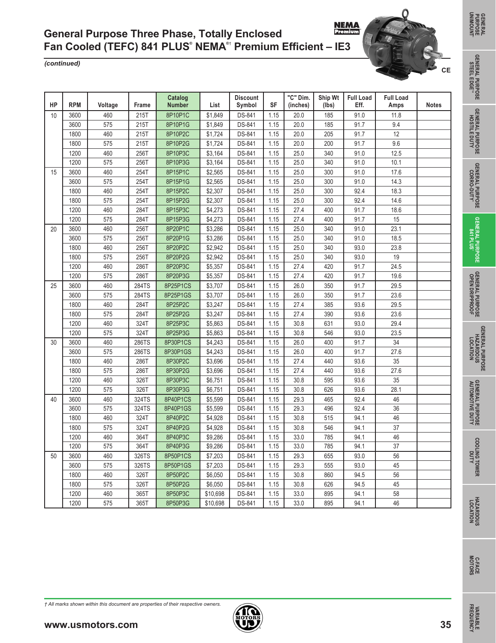*(continued)*

| HP | <b>RPM</b> | Voltage | Frame | Catalog<br><b>Number</b> | List     | <b>Discount</b><br>Symbol | <b>SF</b> | "C" Dim.<br>(inches) | Ship Wt<br>(lbs) | <b>Full Load</b><br>Eff. | <b>Full Load</b><br>Amps | <b>Notes</b> |
|----|------------|---------|-------|--------------------------|----------|---------------------------|-----------|----------------------|------------------|--------------------------|--------------------------|--------------|
| 10 | 3600       | 460     | 215T  | 8P10P1C                  | \$1,849  | <b>DS-841</b>             | 1.15      | 20.0                 | 185              | 91.0                     | 11.8                     |              |
|    | 3600       | 575     | 215T  | 8P10P1G                  | \$1,849  | DS-841                    | 1.15      | 20.0                 | 185              | 91.7                     | 9.4                      |              |
|    | 1800       | 460     | 215T  | 8P10P2C                  | \$1,724  | DS-841                    | 1.15      | 20.0                 | 205              | 91.7                     | 12                       |              |
|    | 1800       | 575     | 215T  | 8P10P2G                  | \$1,724  | <b>DS-841</b>             | 1.15      | 20.0                 | 200              | 91.7                     | 9.6                      |              |
|    | 1200       | 460     | 256T  | 8P10P3C                  | \$3,164  | DS-841                    | 1.15      | 25.0                 | 340              | 91.0                     | 12.5                     |              |
|    | 1200       | 575     | 256T  | 8P10P3G                  | \$3,164  | DS-841                    | 1.15      | 25.0                 | 340              | 91.0                     | 10.1                     |              |
| 15 | 3600       | 460     | 254T  | 8P15P1C                  | \$2,565  | DS-841                    | 1.15      | 25.0                 | 300              | 91.0                     | 17.6                     |              |
|    | 3600       | 575     | 254T  | 8P15P1G                  | \$2,565  | DS-841                    | 1.15      | 25.0                 | 300              | 91.0                     | 14.3                     |              |
|    | 1800       | 460     | 254T  | 8P15P2C                  | \$2,307  | DS-841                    | 1.15      | 25.0                 | 300              | 92.4                     | 18.3                     |              |
|    | 1800       | 575     | 254T  | 8P15P2G                  | \$2,307  | DS-841                    | 1.15      | 25.0                 | 300              | 92.4                     | 14.6                     |              |
|    | 1200       | 460     | 284T  | 8P15P3C                  | \$4,273  | DS-841                    | 1.15      | 27.4                 | 400              | 91.7                     | 18.6                     |              |
|    | 1200       | 575     | 284T  | 8P15P3G                  | \$4,273  | DS-841                    | 1.15      | 27.4                 | 400              | 91.7                     | 15                       |              |
| 20 | 3600       | 460     | 256T  | 8P20P1C                  | \$3,286  | DS-841                    | 1.15      | 25.0                 | 340              | 91.0                     | 23.1                     |              |
|    | 3600       | 575     | 256T  | 8P20P1G                  | \$3,286  | DS-841                    | 1.15      | 25.0                 | 340              | 91.0                     | 18.5                     |              |
|    | 1800       | 460     | 256T  | 8P20P2C                  | \$2,942  | DS-841                    | 1.15      | 25.0                 | 340              | 93.0                     | 23.8                     |              |
|    | 1800       | 575     | 256T  | 8P20P2G                  | \$2,942  | DS-841                    | 1.15      | 25.0                 | 340              | 93.0                     | 19                       |              |
|    | 1200       | 460     | 286T  | 8P20P3C                  | \$5,357  | DS-841                    | 1.15      | 27.4                 | 420              | 91.7                     | 24.5                     |              |
|    | 1200       | 575     | 286T  | 8P20P3G                  | \$5,357  | DS-841                    | 1.15      | 27.4                 | 420              | 91.7                     | 19.6                     |              |
| 25 | 3600       | 460     | 284TS | 8P25P1CS                 | \$3,707  | DS-841                    | 1.15      | 26.0                 | 350              | 91.7                     | 29.5                     |              |
|    | 3600       | 575     | 284TS | 8P25P1GS                 | \$3,707  | DS-841                    | 1.15      | 26.0                 | 350              | 91.7                     | 23.6                     |              |
|    | 1800       | 460     | 284T  | 8P25P2C                  | \$3,247  | DS-841                    | 1.15      | 27.4                 | 385              | 93.6                     | 29.5                     |              |
|    | 1800       | 575     | 284T  | 8P25P2G                  | \$3,247  | DS-841                    | 1.15      | 27.4                 | 390              | 93.6                     | 23.6                     |              |
|    | 1200       | 460     | 324T  | 8P25P3C                  | \$5,863  | DS-841                    | 1.15      | 30.8                 | 631              | 93.0                     | 29.4                     |              |
|    | 1200       | 575     | 324T  | 8P25P3G                  | \$5,863  | DS-841                    | 1.15      | 30.8                 | 546              | 93.0                     | 23.5                     |              |
| 30 | 3600       | 460     | 286TS | 8P30P1CS                 | \$4,243  | <b>DS-841</b>             | 1.15      | 26.0                 | 400              | 91.7                     | 34                       |              |
|    | 3600       | 575     | 286TS | 8P30P1GS                 | \$4,243  | DS-841                    | 1.15      | 26.0                 | 400              | 91.7                     | 27.6                     |              |
|    | 1800       | 460     | 286T  | 8P30P2C                  | \$3,696  | DS-841                    | 1.15      | 27.4                 | 440              | 93.6                     | 35                       |              |
|    | 1800       | 575     | 286T  | 8P30P2G                  | \$3,696  | DS-841                    | 1.15      | 27.4                 | 440              | 93.6                     | 27.6                     |              |
|    | 1200       | 460     | 326T  | 8P30P3C                  | \$6,751  | DS-841                    | 1.15      | 30.8                 | 595              | 93.6                     | 35                       |              |
|    | 1200       | 575     | 326T  | 8P30P3G                  | \$6,751  | DS-841                    | 1.15      | 30.8                 | 626              | 93.6                     | 28.1                     |              |
| 40 | 3600       | 460     | 324TS | 8P40P1CS                 | \$5,599  | DS-841                    | 1.15      | 29.3                 | 465              | 92.4                     | 46                       |              |
|    | 3600       | 575     | 324TS | 8P40P1GS                 | \$5,599  | <b>DS-841</b>             | 1.15      | 29.3                 | 496              | 92.4                     | 36                       |              |
|    | 1800       | 460     | 324T  | 8P40P2C                  | \$4,928  | DS-841                    | 1.15      | 30.8                 | 515              | 94.1                     | 46                       |              |
|    | 1800       | 575     | 324T  | 8P40P2G                  | \$4,928  | DS-841                    | 1.15      | 30.8                 | 546              | 94.1                     | 37                       |              |
|    | 1200       | 460     | 364T  | 8P40P3C                  | \$9,286  | DS-841                    | 1.15      | 33.0                 | 785              | 94.1                     | 46                       |              |
|    | 1200       | 575     | 364T  | 8P40P3G                  | \$9,286  | DS-841                    | 1.15      | 33.0                 | 785              | 94.1                     | 37                       |              |
| 50 | 3600       | 460     | 326TS | 8P50P1CS                 | \$7,203  | <b>DS-841</b>             | 1.15      | 29.3                 | 655              | 93.0                     | 56                       |              |
|    | 3600       | 575     | 326TS | 8P50P1GS                 | \$7,203  | DS-841                    | 1.15      | 29.3                 | 555              | 93.0                     | 45                       |              |
|    | 1800       | 460     | 326T  | 8P50P2C                  | \$6,050  | DS-841                    | 1.15      | 30.8                 | 860              | 94.5                     | 56                       |              |
|    | 1800       | 575     | 326T  | 8P50P2G                  | \$6,050  | DS-841                    | 1.15      | 30.8                 | 626              | 94.5                     | 45                       |              |
|    | 1200       | 460     | 365T  | 8P50P3C                  | \$10,698 | DS-841                    | 1.15      | 33.0                 | 895              | 94.1                     | 58                       |              |
|    | 1200       | 575     | 365T  | 8P50P3G                  | \$10,698 | DS-841                    | 1.15      | 33.0                 | 895              | 94.1                     | 46                       |              |

**COOLING TOWER** 

**COOLING TOWER**<br>DUTY

**DUTY AUTOMOTIVE DUTY**

**GENERAL PURPOSE** 

**GENERAL PURPOSE**<br>AUTOMOTIVE DUTY

**GENERAL PURPOSE HAZARDOUS LOCATION**

**GENERAL PURPOSE<br>HAZARDOUS<br>HAZARDOUS** 

**GENERAL PURPOSE OPEN DRIPPROOF**

**GENERAL PURPOSE 841 PLUS**

GENERAL PURPOSE OENERAL PURPOSE OENERAL PURPOSE OENERAL PURPOSE<br>STEEL EDGE™ HOSTILE DUTY CORRO-DUTY 841 PLUS<br>STEEL EDGE™ HOSTILE DUTY CORRO-DUTY 841 PLUS **GENERAL PURPOSE CORRO-DUTY®**

**GENERAL PURPOSE HOSTILE DUTY**

**GENERAL PURPOSE STEEL EDGE<sup>T</sup>** 

**CE**

n

**VARIABLE** 

**VARIABLE**<br>FREQUENCY

*† All marks shown within this document are properties of their respective owners.*





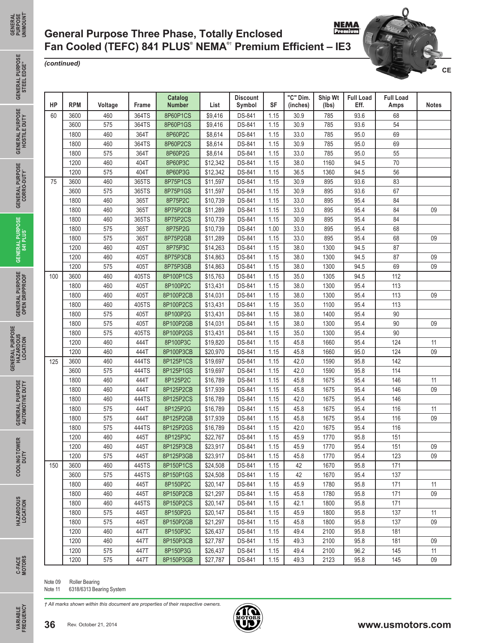## **NEMA General Purpose Three Phase, Totally Enclosed Fan Cooled (TEFC) 841 PLUS® NEMA®**†  **Premium Efficient – IE3**

#### *(continued)*

**GENERAL GENERAL<br>PURPOSE<br>UNIMOUNT UNIMOUNT®**

> **GENERAL PURPOSE** STEEL EDGE™

**GENERAL PURPOSE HOSTILE DUTY**

**GENERAL PURPOSE CORRO-DUTY®**

GENERAL PURPOSE GENERAL PURPOSE GENERAL PURPOSE GENERAL PURPOSE GENERAL PURPOSE<br>OPEN DRIPPROOF 841 PLUS CORRO-DUTY HOSTILE DUTY STEEL EDGE"

**GENERAL PURPOSE 841 PLUS®**

**GENERAL PURPOSE OPEN DRIPPROOF**

**HAZARDOUS LOCATION**

**GENERAL PURPOSE AUTOMOTIVE DUTY**

**GENERAL PURPOSE**<br>AUTOMOTIVE DUTY

**COOLING TOWER**  COOLING TOWER<br>DUTY

> **HAZARDOUS LOCATION**

HAZARDOUS<br>LOCATION

| HP         | <b>RPM</b> | Voltage | Frame | Catalog<br><b>Number</b> | List     | <b>Discount</b><br>Symbol | SF   | "C" Dim.<br>(inches) | Ship Wt<br>(lbs) | <b>Full Load</b><br>Eff. | <b>Full Load</b><br>Amps | <b>Notes</b> |
|------------|------------|---------|-------|--------------------------|----------|---------------------------|------|----------------------|------------------|--------------------------|--------------------------|--------------|
| 60         | 3600       | 460     | 364TS | 8P60P1CS                 | \$9,416  | DS-841                    | 1.15 | 30.9                 | 785              | 93.6                     | 68                       |              |
|            | 3600       | 575     | 364TS | 8P60P1GS                 | \$9,416  | DS-841                    | 1.15 | 30.9                 | 785              | 93.6                     | 54                       |              |
|            | 1800       | 460     | 364T  | 8P60P2C                  | \$8,614  | DS-841                    | 1.15 | 33.0                 | 785              | 95.0                     | 69                       |              |
|            | 1800       | 460     | 364TS | 8P60P2CS                 | \$8,614  | DS-841                    | 1.15 | 30.9                 | 785              | 95.0                     | 69                       |              |
|            | 1800       | 575     | 364T  | 8P60P2G                  | \$8,614  | DS-841                    | 1.15 | 33.0                 | 785              | 95.0                     | 55                       |              |
|            | 1200       | 460     | 404T  | 8P60P3C                  | \$12,342 | DS-841                    | 1.15 | 38.0                 | 1160             | 94.5                     | 70                       |              |
|            | 1200       | 575     | 404T  | 8P60P3G                  | \$12,342 | DS-841                    | 1.15 | 36.5                 | 1360             | 94.5                     | 56                       |              |
| 75         | 3600       | 460     | 365TS | 8P75P1CS                 | \$11,597 | DS-841                    | 1.15 | 30.9                 | 895              | 93.6                     | 83                       |              |
|            | 3600       | 575     | 365TS | 8P75P1GS                 | \$11,597 | DS-841                    | 1.15 | 30.9                 | 895              | 93.6                     | 67                       |              |
| 100<br>125 | 1800       | 460     | 365T  | 8P75P2C                  | \$10,739 | DS-841                    | 1.15 | 33.0                 | 895              | 95.4                     | 84                       |              |
|            | 1800       | 460     | 365T  | 8P75P2CB                 | \$11,289 | DS-841                    | 1.15 | 33.0                 | 895              | 95.4                     | 84                       | 09           |
|            | 1800       | 460     | 365TS | 8P75P2CS                 | \$10,739 | DS-841                    | 1.15 | 30.9                 | 895              | 95.4                     | 84                       |              |
|            | 1800       | 575     | 365T  | 8P75P2G                  | \$10,739 | DS-841                    | 1.00 | 33.0                 | 895              | 95.4                     | 68                       |              |
|            | 1800       | 575     | 365T  | 8P75P2GB                 | \$11,289 | DS-841                    | 1.15 | 33.0                 | 895              | 95.4                     | 68                       | 09           |
|            | 1200       | 460     | 405T  | 8P75P3C                  | \$14,263 | DS-841                    | 1.15 | 38.0                 | 1300             | 94.5                     | 87                       |              |
|            | 1200       | 460     | 405T  | 8P75P3CB                 | \$14,863 | DS-841                    | 1.15 | 38.0                 | 1300             | 94.5                     | 87                       | 09           |
|            | 1200       | 575     | 405T  | 8P75P3GB                 | \$14,863 | DS-841                    | 1.15 | 38.0                 | 1300             | 94.5                     | 69                       | 09           |
|            | 3600       | 460     | 405TS | 8P100P1CS                | \$15,763 | DS-841                    | 1.15 | 35.0                 | 1305             | 94.5                     | 112                      |              |
|            | 1800       | 460     | 405T  | 8P100P2C                 | \$13,431 | DS-841                    | 1.15 | 38.0                 | 1300             | 95.4                     | 113                      |              |
|            | 1800       | 460     | 405T  | 8P100P2CB                | \$14,031 | DS-841                    | 1.15 | 38.0                 | 1300             | 95.4                     | 113                      | 09           |
|            | 1800       | 460     | 405TS | 8P100P2CS                | \$13,431 | DS-841                    | 1.15 | 35.0                 | 1100             | 95.4                     | 113                      |              |
|            | 1800       | 575     | 405T  | 8P100P2G                 | \$13,431 | DS-841                    | 1.15 | 38.0                 | 1400             | 95.4                     | $90\,$                   |              |
|            | 1800       | 575     | 405T  | 8P100P2GB                | \$14,031 | DS-841                    | 1.15 | 38.0                 | 1300             | 95.4                     | $90\,$                   | 09           |
|            | 1800       | 575     | 405TS | 8P100P2GS                | \$13,431 | DS-841                    | 1.15 | 35.0                 | 1300             | 95.4                     | $90\,$                   |              |
|            | 1200       | 460     | 444T  | 8P100P3C                 | \$19,820 | DS-841                    | 1.15 | 45.8                 | 1660             | 95.4                     | 124                      | 11           |
|            | 1200       | 460     | 444T  | 8P100P3CB                | \$20,970 | DS-841                    | 1.15 | 45.8                 | 1660             | 95.0                     | 124                      | 09           |
|            | 3600       | 460     | 444TS | 8P125P1CS                | \$19,697 | DS-841                    | 1.15 | 42.0                 | 1590             | 95.8                     | 142                      |              |
|            | 3600       | 575     | 444TS | 8P125P1GS                | \$19,697 | DS-841                    | 1.15 | 42.0                 | 1590             | 95.8                     | 114                      |              |
|            | 1800       | 460     | 444T  | 8P125P2C                 | \$16,789 | DS-841                    | 1.15 | 45.8                 | 1675             | 95.4                     | 146                      | 11           |
|            | 1800       | 460     | 444T  | 8P125P2CB                | \$17,939 | DS-841                    | 1.15 | 45.8                 | 1675             | 95.4                     | 146                      | 09           |
|            | 1800       | 460     | 444TS | 8P125P2CS                | \$16,789 | DS-841                    | 1.15 | 42.0                 | 1675             | 95.4                     | 146                      |              |
|            | 1800       | 575     | 444T  | 8P125P2G                 | \$16,789 | DS-841                    | 1.15 | 45.8                 | 1675             | 95.4                     | 116                      | 11           |
|            | 1800       | 575     | 444T  | 8P125P2GB                | \$17,939 | DS-841                    | 1.15 | 45.8                 | 1675             | 95.4                     | 116                      | 09           |
|            | 1800       | 575     | 444TS | 8P125P2GS                | \$16,789 | DS-841                    | 1.15 | 42.0                 | 1675             | 95.4                     | 116                      |              |
|            | 1200       | 460     | 445T  | 8P125P3C                 | \$22,767 | DS-841                    | 1.15 | 45.9                 | 1770             | 95.8                     | 151                      |              |
|            | 1200       | 460     | 445T  | 8P125P3CB                | \$23,917 | DS-841                    | 1.15 | 45.9                 | 1770             | 95.4                     | 151                      | 09           |
|            | 1200       | 575     | 445T  | 8P125P3GB                | \$23,917 | DS-841                    | 1.15 | 45.8                 | 1770             | 95.4                     | 123                      | 09           |
| 150        | 3600       | 460     | 445TS | 8P150P1CS                | \$24,508 | <b>DS-841</b>             | 1.15 | 42                   | 1670             | 95.8                     | 171                      |              |
|            | 3600       | 575     | 445TS | 8P150P1GS                | \$24,508 | DS-841                    | 1.15 | 42                   | 1670             | 95.4                     | 137                      |              |
|            | 1800       | 460     | 445T  | 8P150P2C                 | \$20,147 | DS-841                    | 1.15 | 45.9                 | 1780             | 95.8                     | 171                      | 11           |
|            | 1800       | 460     | 445T  | 8P150P2CB                | \$21,297 | <b>DS-841</b>             | 1.15 | 45.8                 | 1780             | 95.8                     | 171                      | 09           |
|            |            | 460     | 445TS | 8P150P2CS                | \$20,147 | <b>DS-841</b>             | 1.15 | 42.1                 | 1800             | 95.8                     | 171                      |              |
|            | 1800       |         |       |                          |          |                           | 1.15 | 45.9                 | 1800             | 95.8                     | 137                      | 11           |
|            | 1800       | 575     | 445T  | 8P150P2G                 | \$20,147 | DS-841                    |      |                      |                  |                          |                          |              |
|            | 1800       | 575     | 445T  | 8P150P2GB                | \$21,297 | DS-841                    | 1.15 | 45.8                 | 1800             | 95.8                     | 137                      | 09           |
|            | 1200       | 460     | 447T  | 8P150P3C                 | \$26,437 | DS-841                    | 1.15 | 49.4                 | 2100             | 95.8                     | 181                      |              |
|            | 1200       | 460     | 447T  | 8P150P3CB                | \$27,787 | DS-841                    | 1.15 | 49.3                 | 2100             | 95.8                     | 181                      | 09           |
|            | 1200       | 575     | 447T  | 8P150P3G                 | \$26,437 | <b>DS-841</b>             | 1.15 | 49.4                 | 2100             | 96.2                     | 145                      | 11           |

**VARIABLE FREQUENCY**

VARIABLE<br>FREQUENCY

Note 09 Roller Bearing<br>Note 11 6318/6313 Bear

6318/6313 Bearing System

*† All marks shown within this document are properties of their respective owners.*



**CE**